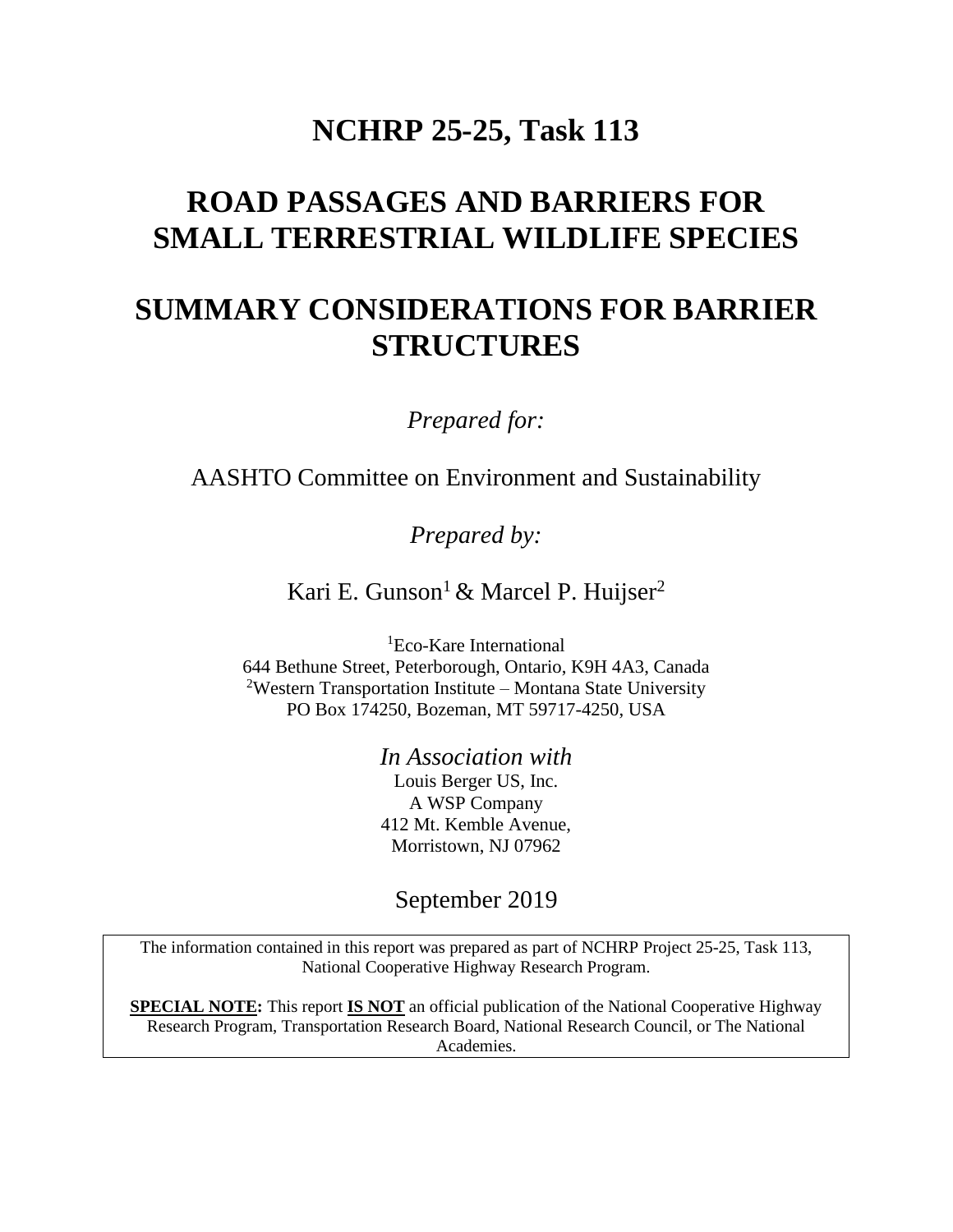## **NCHRP 25-25, Task 113**

# **ROAD PASSAGES AND BARRIERS FOR SMALL TERRESTRIAL WILDLIFE SPECIES**

# **SUMMARY CONSIDERATIONS FOR BARRIER STRUCTURES**

*Prepared for:*

AASHTO Committee on Environment and Sustainability

*Prepared by:*

Kari E. Gunson<sup>1</sup> & Marcel P. Huijser<sup>2</sup>

<sup>1</sup>Eco-Kare International 644 Bethune Street, Peterborough, Ontario, K9H 4A3, Canada <sup>2</sup>Western Transportation Institute – Montana State University PO Box 174250, Bozeman, MT 59717-4250, USA

> *In Association with* Louis Berger US, Inc. A WSP Company 412 Mt. Kemble Avenue, Morristown, NJ 07962

September 2019

The information contained in this report was prepared as part of NCHRP Project 25-25, Task 113, National Cooperative Highway Research Program.

**SPECIAL NOTE:** This report **IS NOT** an official publication of the National Cooperative Highway Research Program, Transportation Research Board, National Research Council, or The National Academies.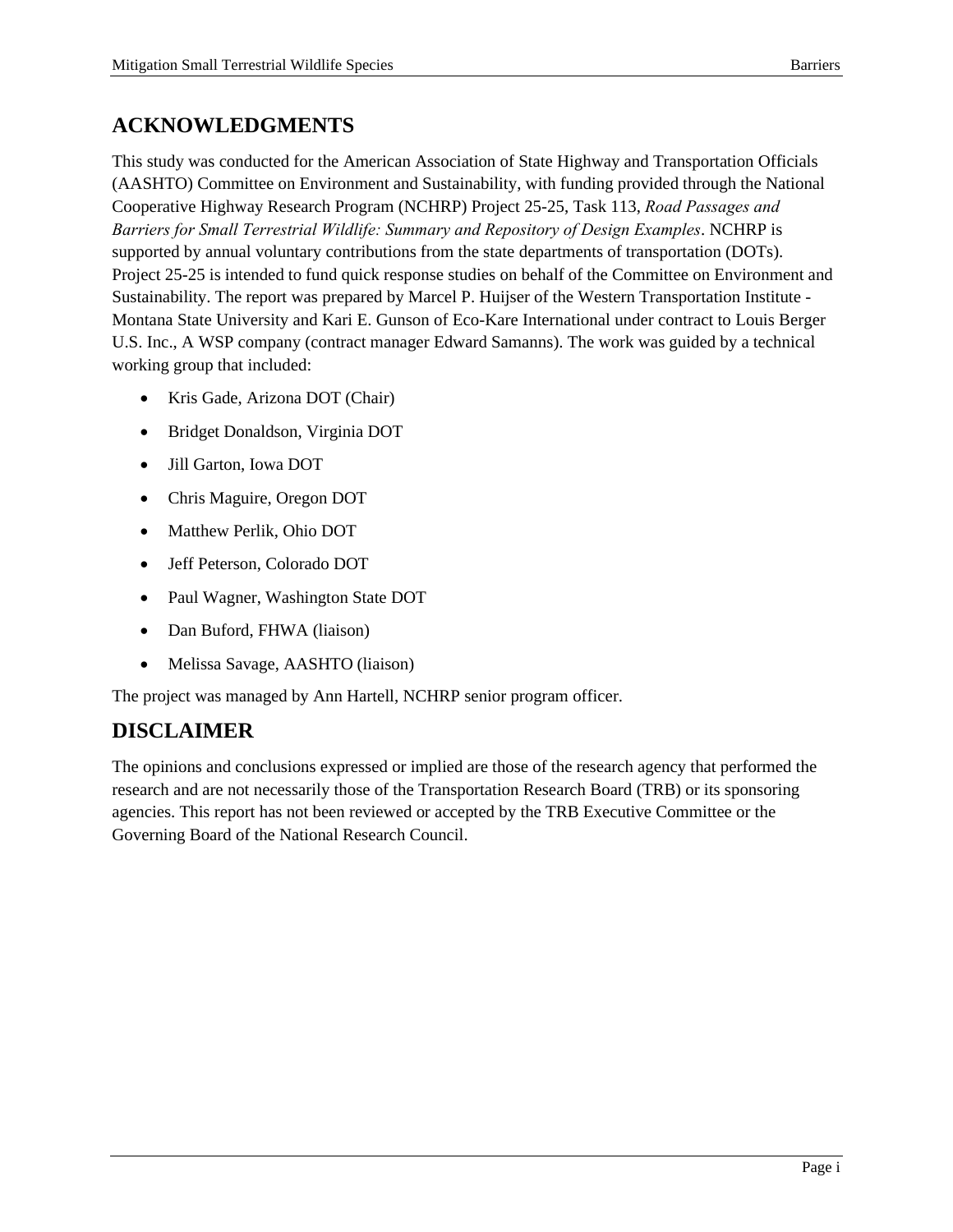## **ACKNOWLEDGMENTS**

This study was conducted for the American Association of State Highway and Transportation Officials (AASHTO) Committee on Environment and Sustainability, with funding provided through the National Cooperative Highway Research Program (NCHRP) Project 25-25, Task 113, *Road Passages and Barriers for Small Terrestrial Wildlife: Summary and Repository of Design Examples*. NCHRP is supported by annual voluntary contributions from the state departments of transportation (DOTs). Project 25-25 is intended to fund quick response studies on behalf of the Committee on Environment and Sustainability. The report was prepared by Marcel P. Huijser of the Western Transportation Institute - Montana State University and Kari E. Gunson of Eco-Kare International under contract to Louis Berger U.S. Inc., A WSP company (contract manager Edward Samanns). The work was guided by a technical working group that included:

- Kris Gade, Arizona DOT (Chair)
- Bridget Donaldson, Virginia DOT
- Jill Garton, Iowa DOT
- Chris Maguire, Oregon DOT
- Matthew Perlik, Ohio DOT
- Jeff Peterson, Colorado DOT
- Paul Wagner, Washington State DOT
- Dan Buford, FHWA (liaison)
- Melissa Savage, AASHTO (liaison)

The project was managed by Ann Hartell, NCHRP senior program officer.

### **DISCLAIMER**

The opinions and conclusions expressed or implied are those of the research agency that performed the research and are not necessarily those of the Transportation Research Board (TRB) or its sponsoring agencies. This report has not been reviewed or accepted by the TRB Executive Committee or the Governing Board of the National Research Council.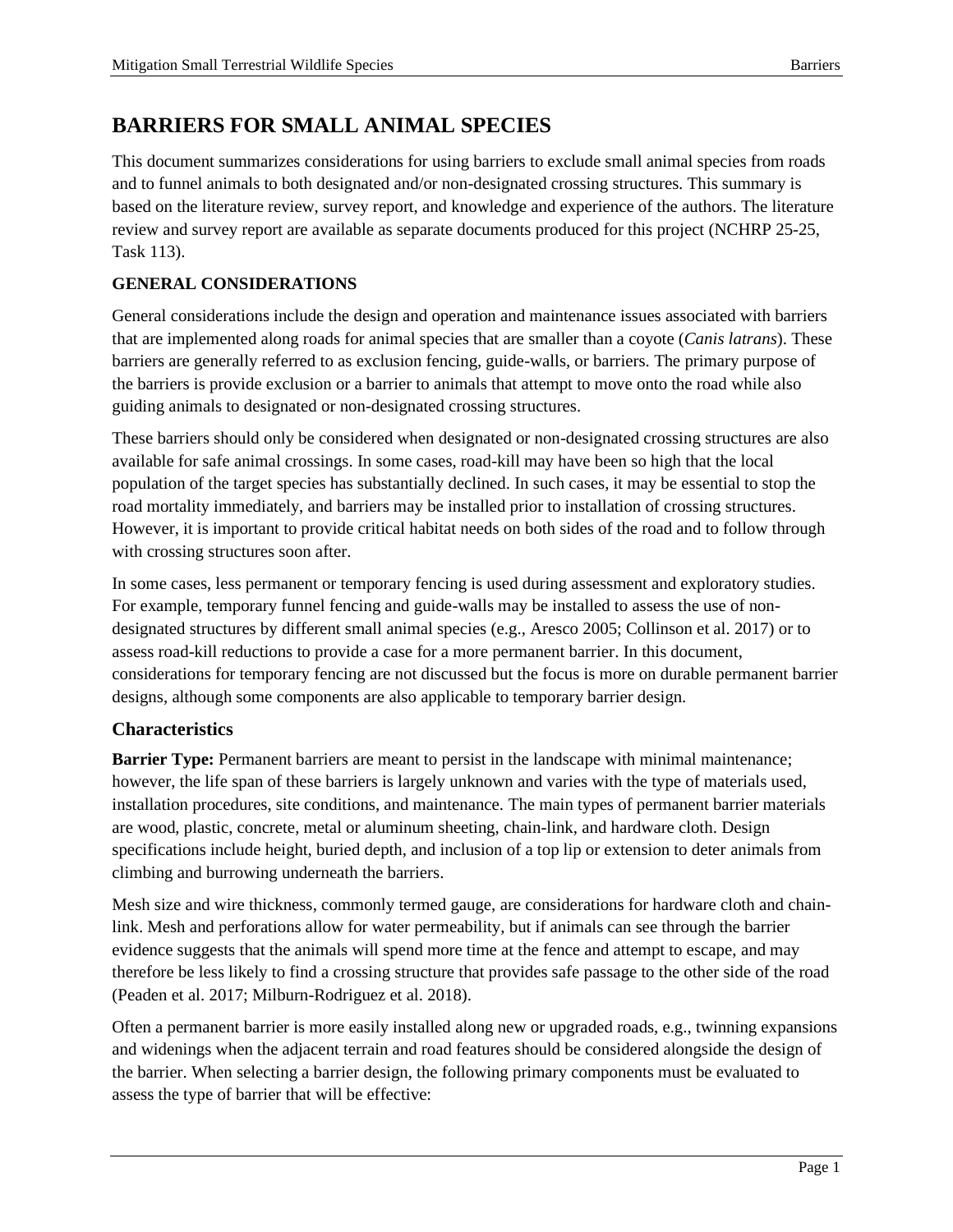### **BARRIERS FOR SMALL ANIMAL SPECIES**

This document summarizes considerations for using barriers to exclude small animal species from roads and to funnel animals to both designated and/or non-designated crossing structures. This summary is based on the literature review, survey report, and knowledge and experience of the authors. The literature review and survey report are available as separate documents produced for this project (NCHRP 25-25, Task 113).

#### **GENERAL CONSIDERATIONS**

General considerations include the design and operation and maintenance issues associated with barriers that are implemented along roads for animal species that are smaller than a coyote (*Canis latrans*). These barriers are generally referred to as exclusion fencing, guide-walls, or barriers. The primary purpose of the barriers is provide exclusion or a barrier to animals that attempt to move onto the road while also guiding animals to designated or non-designated crossing structures.

These barriers should only be considered when designated or non-designated crossing structures are also available for safe animal crossings. In some cases, road-kill may have been so high that the local population of the target species has substantially declined. In such cases, it may be essential to stop the road mortality immediately, and barriers may be installed prior to installation of crossing structures. However, it is important to provide critical habitat needs on both sides of the road and to follow through with crossing structures soon after.

In some cases, less permanent or temporary fencing is used during assessment and exploratory studies. For example, temporary funnel fencing and guide-walls may be installed to assess the use of nondesignated structures by different small animal species (e.g., Aresco 2005; Collinson et al. 2017) or to assess road-kill reductions to provide a case for a more permanent barrier. In this document, considerations for temporary fencing are not discussed but the focus is more on durable permanent barrier designs, although some components are also applicable to temporary barrier design.

#### **Characteristics**

**Barrier Type:** Permanent barriers are meant to persist in the landscape with minimal maintenance; however, the life span of these barriers is largely unknown and varies with the type of materials used, installation procedures, site conditions, and maintenance. The main types of permanent barrier materials are wood, plastic, concrete, metal or aluminum sheeting, chain-link, and hardware cloth. Design specifications include height, buried depth, and inclusion of a top lip or extension to deter animals from climbing and burrowing underneath the barriers.

Mesh size and wire thickness, commonly termed gauge, are considerations for hardware cloth and chainlink. Mesh and perforations allow for water permeability, but if animals can see through the barrier evidence suggests that the animals will spend more time at the fence and attempt to escape, and may therefore be less likely to find a crossing structure that provides safe passage to the other side of the road (Peaden et al. 2017; Milburn-Rodriguez et al. 2018).

Often a permanent barrier is more easily installed along new or upgraded roads, e.g., twinning expansions and widenings when the adjacent terrain and road features should be considered alongside the design of the barrier. When selecting a barrier design, the following primary components must be evaluated to assess the type of barrier that will be effective: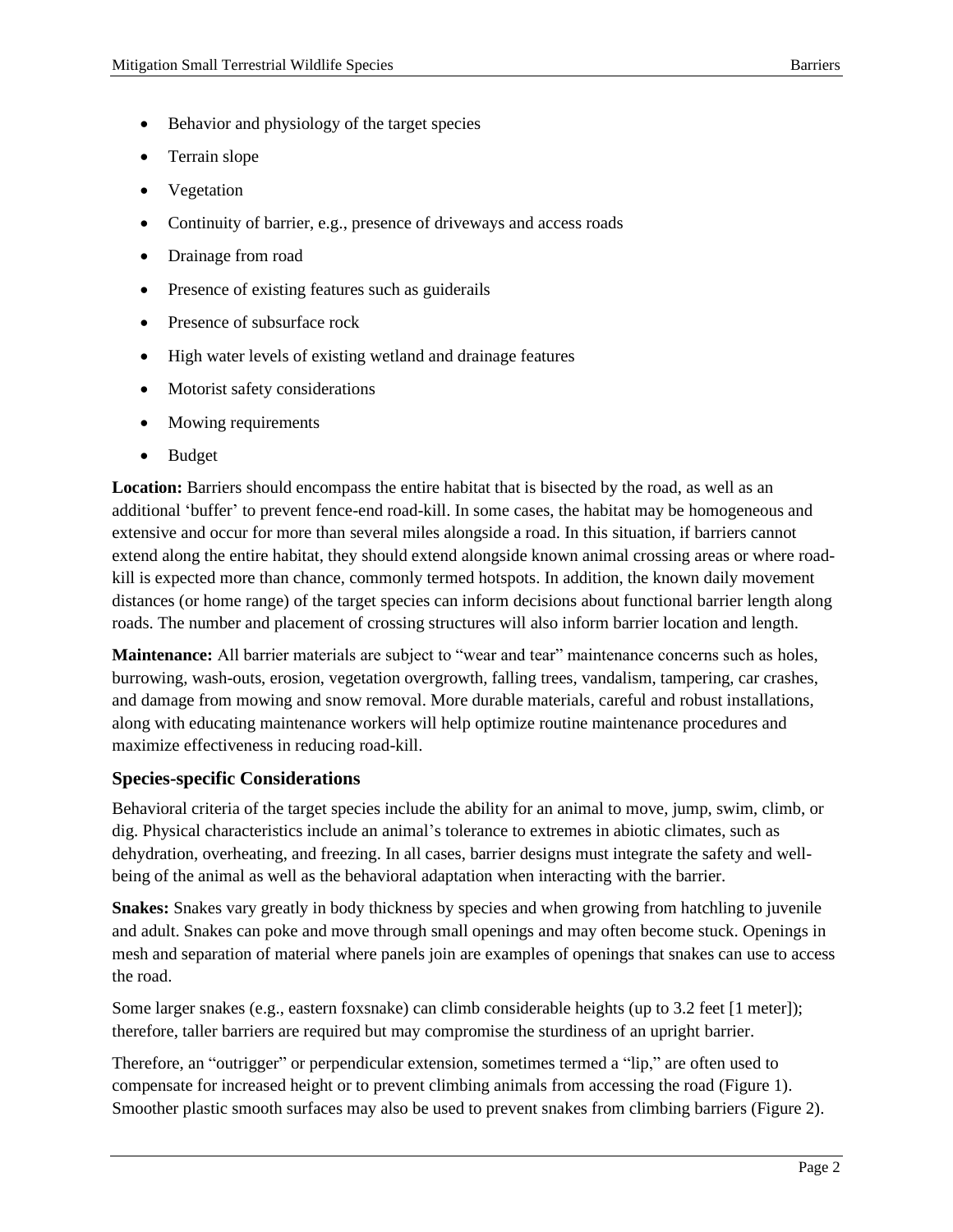- Behavior and physiology of the target species
- Terrain slope
- Vegetation
- Continuity of barrier, e.g., presence of driveways and access roads
- Drainage from road
- Presence of existing features such as guiderails
- Presence of subsurface rock
- High water levels of existing wetland and drainage features
- Motorist safety considerations
- Mowing requirements
- Budget

**Location:** Barriers should encompass the entire habitat that is bisected by the road, as well as an additional 'buffer' to prevent fence-end road-kill. In some cases, the habitat may be homogeneous and extensive and occur for more than several miles alongside a road. In this situation, if barriers cannot extend along the entire habitat, they should extend alongside known animal crossing areas or where roadkill is expected more than chance, commonly termed hotspots. In addition, the known daily movement distances (or home range) of the target species can inform decisions about functional barrier length along roads. The number and placement of crossing structures will also inform barrier location and length.

**Maintenance:** All barrier materials are subject to "wear and tear" maintenance concerns such as holes, burrowing, wash-outs, erosion, vegetation overgrowth, falling trees, vandalism, tampering, car crashes, and damage from mowing and snow removal. More durable materials, careful and robust installations, along with educating maintenance workers will help optimize routine maintenance procedures and maximize effectiveness in reducing road-kill.

#### **Species-specific Considerations**

Behavioral criteria of the target species include the ability for an animal to move, jump, swim, climb, or dig. Physical characteristics include an animal's tolerance to extremes in abiotic climates, such as dehydration, overheating, and freezing. In all cases, barrier designs must integrate the safety and wellbeing of the animal as well as the behavioral adaptation when interacting with the barrier.

**Snakes:** Snakes vary greatly in body thickness by species and when growing from hatchling to juvenile and adult. Snakes can poke and move through small openings and may often become stuck. Openings in mesh and separation of material where panels join are examples of openings that snakes can use to access the road.

Some larger snakes (e.g., eastern foxsnake) can climb considerable heights (up to 3.2 feet [1 meter]); therefore, taller barriers are required but may compromise the sturdiness of an upright barrier.

Therefore, an "outrigger" or perpendicular extension, sometimes termed a "lip," are often used to compensate for increased height or to prevent climbing animals from accessing the road (Figure 1). Smoother plastic smooth surfaces may also be used to prevent snakes from climbing barriers (Figure 2).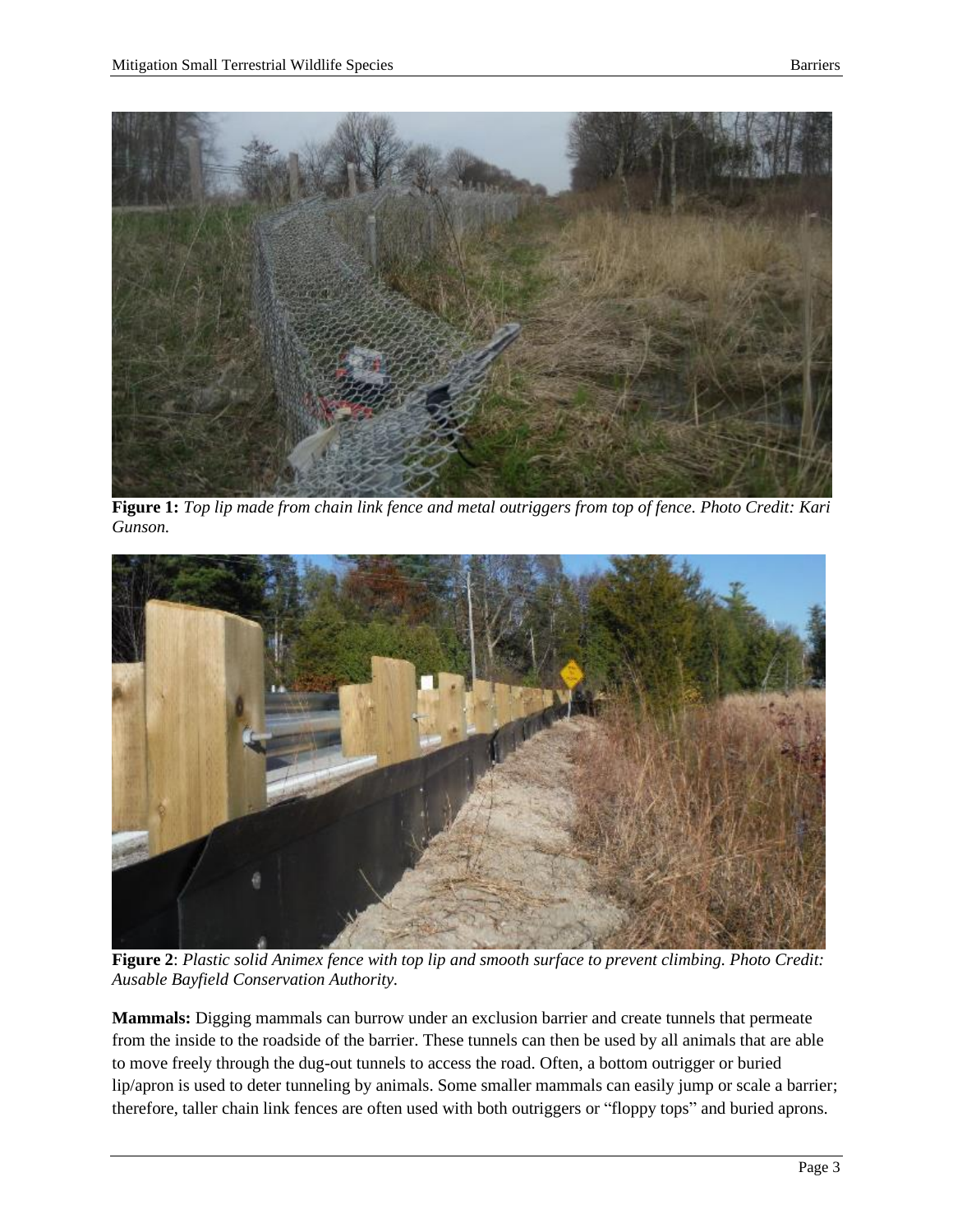

**Figure 1:** *Top lip made from chain link fence and metal outriggers from top of fence. Photo Credit: Kari Gunson.*



**Figure 2**: *Plastic solid Animex fence with top lip and smooth surface to prevent climbing. Photo Credit: Ausable Bayfield Conservation Authority.*

**Mammals:** Digging mammals can burrow under an exclusion barrier and create tunnels that permeate from the inside to the roadside of the barrier. These tunnels can then be used by all animals that are able to move freely through the dug-out tunnels to access the road. Often, a bottom outrigger or buried lip/apron is used to deter tunneling by animals. Some smaller mammals can easily jump or scale a barrier; therefore, taller chain link fences are often used with both outriggers or "floppy tops" and buried aprons.